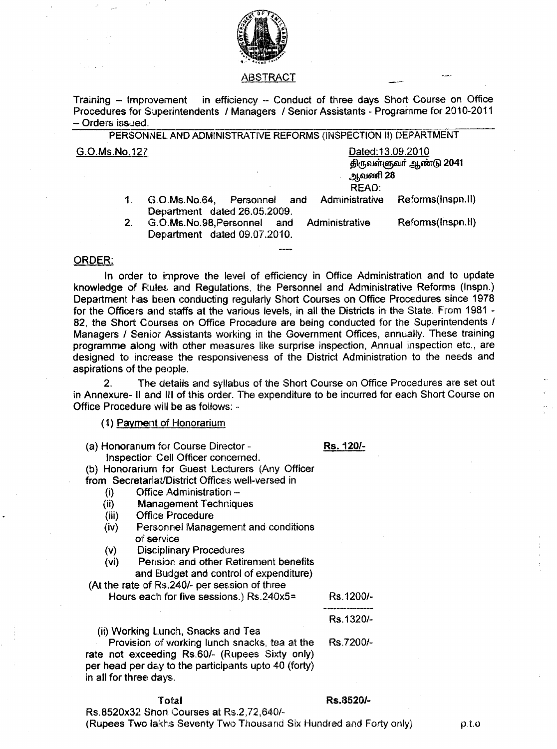

#### ABSTRACT

in efficiency -- Conduct of three days Short Course on Office Training - Improvement Procedures for Superintendents / Managers / Senior Assistants - Programme for 2010-2011 - Orders issued.

PERSONNEL AND ADMINISTRATIVE REFORMS (INSPECTION II) DEPARTMENT G.O.Ms.No.127 Dated: 13.09.2010 திருவள்ளுவர் ஆண்டு 2041 ஆவணி 28

### READ:

- Administrative Reforms(Inspn.II)  $\mathbf 1$ G.O.Ms.No.64. Personnel and Department dated 26.05.2009.
- $2.$ G.O.Ms.No.98, Personnel and Administrative Reforms(Inspn.II) Department dated 09.07.2010.

## ORDER:

In order to improve the level of efficiency in Office Administration and to update knowledge of Rules and Regulations, the Personnel and Administrative Reforms (Inspn.) Department has been conducting regularly Short Courses on Office Procedures since 1978 for the Officers and staffs at the various levels, in all the Districts in the State. From 1981 -82, the Short Courses on Office Procedure are being conducted for the Superintendents / Managers / Senior Assistants working in the Government Offices, annually. These training programme along with other measures like surprise inspection, Annual inspection etc., are designed to increase the responsiveness of the District Administration to the needs and aspirations of the people.

 $\overline{2}$ The details and syllabus of the Short Course on Office Procedures are set out in Annexure- II and III of this order. The expenditure to be incurred for each Short Course on Office Procedure will be as follows: -

## (1) Payment of Honorarium

Rs. 120/-

(a) Honorarium for Course Director -Inspection Cell Officer concerned.

(b) Honorarium for Guest Lecturers (Any Officer

from Secretariat/District Offices well-versed in

- Office Administration - $(i)$
- **Management Techniques**  $(ii)$
- **Office Procedure**  $(iii)$
- Personnel Management and conditions  $(iv)$ of service
- **Disciplinary Procedures**  $(v)$
- Pension and other Retirement benefits  $(v<sub>i</sub>)$ and Budget and control of expenditure)

(At the rate of Rs.240/- per session of three

Hours each for five sessions.) Rs.240x5=

Rs.1200/-Rs.1320/-

Rs.7200/-

(ii) Working Lunch, Snacks and Tea

Provision of working lunch snacks, tea at the rate not exceeding Rs.60/- (Rupees Sixty only) per head per day to the participants upto 40 (forty) in all for three days.

## Total

#### Rs.8520/-

Rs.8520x32 Short Courses at Rs.2,72,640/-(Rupees Two lakhs Seventy Two Thousand Six Hundred and Forty only)

 $\rho.t.o$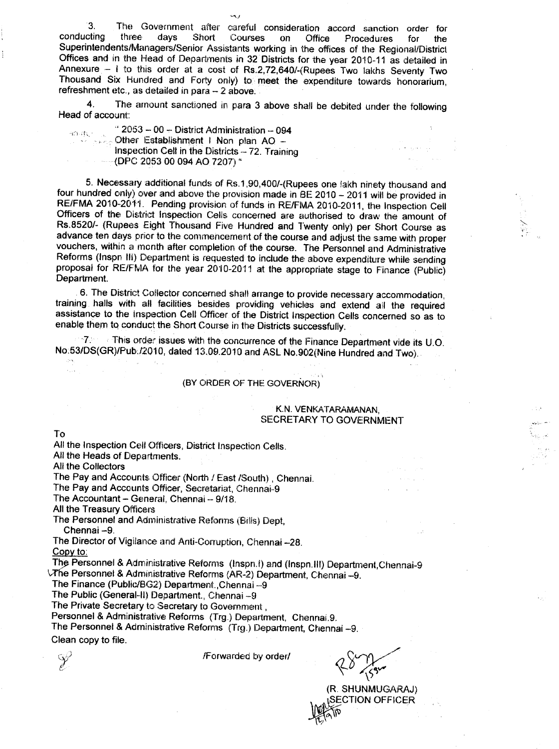3. The Government after careful consideration accord sanction order for<br>conducting three days Short Courses on Office Procedures for the conducting three days Short Courses on Office Procedures for the Superintendents/Managers/Senior Assistants working in the offices of the Regional/Dist Offices and in the Head of Departments in 32 Districts for the year 2010-11 as detailed in Annexure  $-$  I to this order at a cost of Rs.2,72,640/-(Rupees Two lakhs Seventy Two Thousand Six Hundred and Forty only) to meet the expenditure towards honorarium, refreshment etc., as detailed in para - 2 above.

 $-1$ 

4. The amount sanctioned in para 3 above shall be debited under the following Head of account:

"  $2053 - 00 -$  District Administration - 094 **Other Establishment I Non plan AO -**Inspection Cell in the Districts  $-72$ . Training  $-(DPC 2053~00~094~AO~7207)$  "

5. Necessary additional funds of Rs.1,90,400/-(Rupees one lakh ninety thousand and four hundred only) over and above the provision made in BE 2010 - 2011 will be provided in RE/FMA 2010-2011. Pending provision of funds in RE/FMA 2010-2011, the Inspection Cell Officers of the District Inspection Cells concerned are authorised to draw the amount of Rs.8520/- (Rupees Eight Thousand Five Hundred and Twenty only) per Short Course as advance ten days prior to the commencement of the course and adjust the same with proper vouchers, within a month after completion of the course. The Personnel and Administrative Reforms (Inspn III) Department is requested to include the above expenditure while sending proposal for RE/FMA for the year 2010-2011 at the appropriate stage to Finance (Public) Department.

6. The District Collector concerned shall arrange to provide necessary accommodation, training halls with all facilities besides providing vehicles and extend all the required assistance to the Inspection Cell Officer of the District Inspection Cells concerned so as to enable them to, conduct the Short Course in the Districts successfully.

<sup>7</sup>. This order issues with the concurrence of the Finance Department vide its U.O. No:53/DS(GR)/Pub./2010, dated 13.09.2010 and ASL No.902(Nine Hundred and Two).

# (BY ORDER OF THE GOVERNOR)

### K.N. VENKATARAMANAN, SECRETARY TO GOVERNMENT

To

ation)

i.

All the Inspection Cell Officers, District Inspection Cells.

 $\mathcal{P}_\text{a} = \mathcal{P}_\text{a}$ 

All the Heads of Departments.

All the Collectors

an di

The Pay and Accounts Officer (North / East {South) , Chennai.

The Pay and Accounts Officer, Secretariat, Chennai-9

The Accountant - General, Chennai -- 9/18.

All the Treasury Officers

The Personnel and Administrative Reforms (Bills) Dept, Chennai -9.

The Director of Vigilance and Anti-Corruption, Chennai -28. Copy to:

The Personnel & Administrative Reforms (Inspn.l) and (Inspn.III) Department,Chennai-9 VThe Personnel & Administrative Reforms (AR-2) Department, Chennai -- 9.

The Finance (Public/BG2) Department, Chennai-9

The Public (General-II) Department., Chennai-9

The Private Secretary to Secretary to Government.

Personnel & Administrative Reforms (Trg.) Department, Chennai.9.

The Personnel & Administrative Reforms (Trg.) Department, Chennai -9.

Clean copy to file.

V

/Forwarded by order/

./ *CVYy/*  $40 \frac{1}{55}$ 

(R. SHUNMUGARAJ) SECTION OFFICER  $\mathbb{K}$ . \~~\

~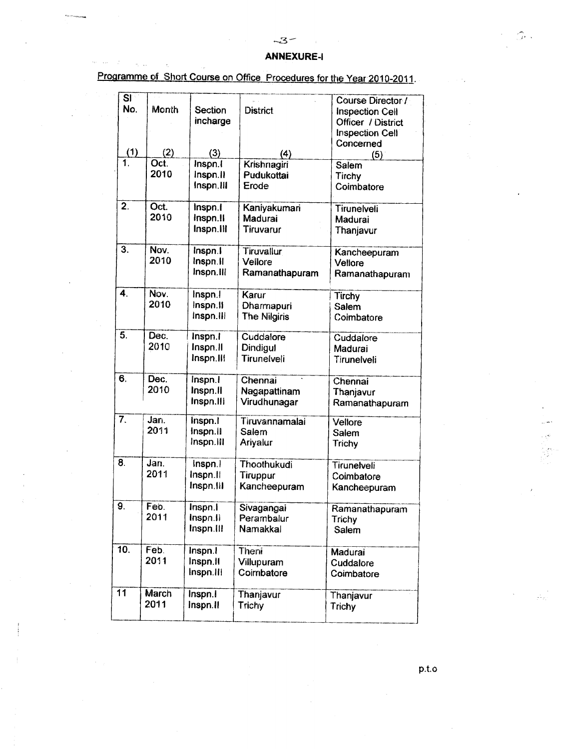# ANNEXURE-I

Programme of Short Course on Office Procedures for the Year 2010-2011.

 $\phi_{\tau}=\phi_{\tau\tau}$ 

| SI               |              |           |                 | Course Director /      |
|------------------|--------------|-----------|-----------------|------------------------|
| No.              | Month        | Section   | <b>District</b> | <b>Inspection Cell</b> |
|                  |              | incharge  |                 | Officer / District     |
|                  |              |           |                 | <b>Inspection Cell</b> |
|                  |              |           |                 | Concerned              |
| (1)              | (2)          | (3)       | (4)             | (5)                    |
| 1.               | Oct.         | Inspn.I   | Krishnagiri     | Salem                  |
|                  | 2010         | Inspn.II  | Pudukottai      | Tirchy                 |
|                  |              | Inspn.III | Erode           | Coimbatore             |
| $\overline{2}$ . | Oct.         | Inspn.I   | Kaniyakumari    | Tirunelveli            |
|                  | 2010         | Inspn.II  | Madurai         | Madurai                |
|                  |              | Inspn.III | Tiruvarur       | Thanjavur              |
| $\overline{3}$ . | Nov.         | Inspn.1   | Tiruvallur      | Kancheepuram           |
|                  | 2010         | Inspn.II  | Vellore         | Vellore                |
|                  |              | Inspn.III | Ramanathapuram  | Ramanathapuram         |
| 4.               | Nov.         | Inspn.    | Karur           | Tirchy                 |
|                  | 2010         | Inspn.II  | Dharmapuri      | Salem                  |
|                  |              | inspn.ill | The Nilgiris    | Coimbatore             |
| $\overline{5}$ . | Dec.         | Inspn.I   | Cuddalore       | Cuddalore              |
|                  | 2010         | Inspn.II  | Dindigul        | Madurai                |
|                  |              | Inspn.IIf | Tirunelveli     | Tirunelveli            |
| 6.               | Dec.         | Inspn.I   | Chennai         | Chennai                |
|                  | 2010         | Inspn.II  | Nagapattinam    | Thanjavur              |
|                  |              | Inspn.III | Virudhunagar    | Ramanathapuram         |
| 7.               | Jan.         | Inspn.I   | Tiruvannamalai  | Vellore                |
|                  | 2011         | Inspn.il  | Salem           | Salem                  |
|                  |              | Inspn.III | Ariyalur        | Trichy                 |
| 8.               | Jan.         | Inspn.1   | Thoothukudi     | <b>Tirunelveli</b>     |
|                  | 2011         | Inspn.ll  | Tiruppur        | Coimbatore             |
|                  |              | Inspn.III | Kancheepuram    | Kancheepuram           |
| 9.               | Feb.         | Inspn.i   | Sivagangai      | Ramanathapuram         |
|                  | 2011         | Inspn.II  | Perambalur      | Trichy                 |
|                  |              | Inspn.III | Namakkal        | Salem                  |
| 10.              | Feb.         | Inspn.I   | Theni           | Madurai                |
|                  | 2011         | Inspn.II  | Villupuram      | Cuddalore              |
|                  |              | Inspn.III | Coimbatore      | Coimbatore             |
| $\overline{11}$  | <b>March</b> | Inspn.I   | Thanjavur       | Thanjavur              |
|                  | 2011         | Inspn.II  | Trichy          | Trichy                 |

p.t.o

,'-" i l >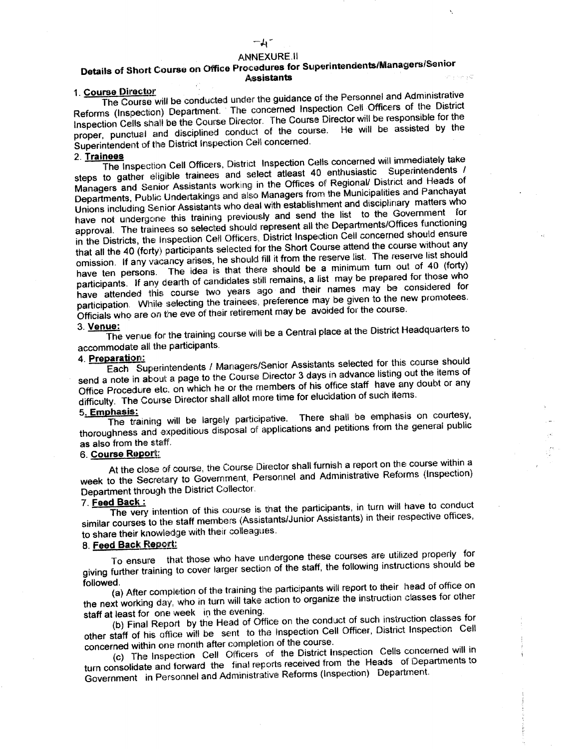# $-\lambda$ -

### **ANNEXURE.II**

# Details of Short Course on Office Procedures for Superintendents/Managers/Senior **Assistants**

# 1. Course Director

The Course will be conducted under the guidance of the Personnel and Administrative Reforms (Inspection) Department. The concerned Inspection Cell Officers of the District Inspection Cells shall be the Course Director. The Course Director will be responsible for the proper, punctual and disciplined conduct of the course. He will be assisted by the Superintendent of the District Inspection Cell concerned.

#### 2. Trainees

The Inspection Cell Officers, District Inspection Cells concerned will immediately take steps to gather eligible trainees and select atleast 40 enthusiastic Superintendents / Managers and Senior Assistants working in the Offices of Regional/ District and Heads of Departments, Public Undertakings and also Managers from the Municipalities and Panchayat Unions including Senior Assistants who deal with establishment and disciplinary matters who have not undergone this training previously and send the list to the Government for approval. The trainees so selected should represent all the Departments/Offices functioning in the Districts, the Inspection Cell Officers, District Inspection Cell concerned should ensure that all the 40 (forty) participants selected for the Short Course attend the course without any omission. If any vacancy arises, he should fill it from the reserve list. The reserve list should have ten persons. The idea is that there should be a minimum turn out of 40 (forty) participants. If any dearth of candidates still remains, a list may be prepared for those who have attended this course two years ago and their names may be considered for participation. While selecting the trainees, preference may be given to the new promotees. Officials who are on the eve of their retirement may be avoided for the course.

# 3. Venue:

The venue for the training course will be a Central place at the District Headquarters to accommodate all the participants.

### 4. Preparation:

Each Superintendents / Managers/Senior Assistants selected for this course should send a note in about a page to the Course Director 3 days in advance listing out the items of Office Procedure etc. on which he or the members of his office staff have any doubt or any difficulty. The Course Director shall allot more time for elucidation of such items.

#### 5. Emphasis:

The training will be largely participative. There shall be emphasis on courtesy, thoroughness and expeditious disposal of applications and petitions from the general public as also from the staff.

# 6. Course Report:

At the close of course, the Course Director shall furnish a report on the course within a week to the Secretary to Government, Personnel and Administrative Reforms (Inspection) Department through the District Collector.

## 7. Feed Back:

The very intention of this course is that the participants, in turn will have to conduct similar courses to the staff members (Assistants/Junior Assistants) in their respective offices, to share their knowledge with their colleagues.

## 8. Feed Back Report:

To ensure that those who have undergone these courses are utilized properly for giving further training to cover larger section of the staff, the following instructions should be followed.

(a) After completion of the training the participants will report to their head of office on the next working day, who in turn will take action to organize the instruction classes for other staff at least for one week in the evening.

(b) Final Report by the Head of Office on the conduct of such instruction classes for other staff of his office will be sent to the Inspection Cell Officer, District Inspection Cell concerned within one month after completion of the course.

(c) The Inspection Cell Officers of the District Inspection Cells concerned will in turn consolidate and forward the final reports received from the Heads of Departments to Government in Personnel and Administrative Reforms (Inspection) Department.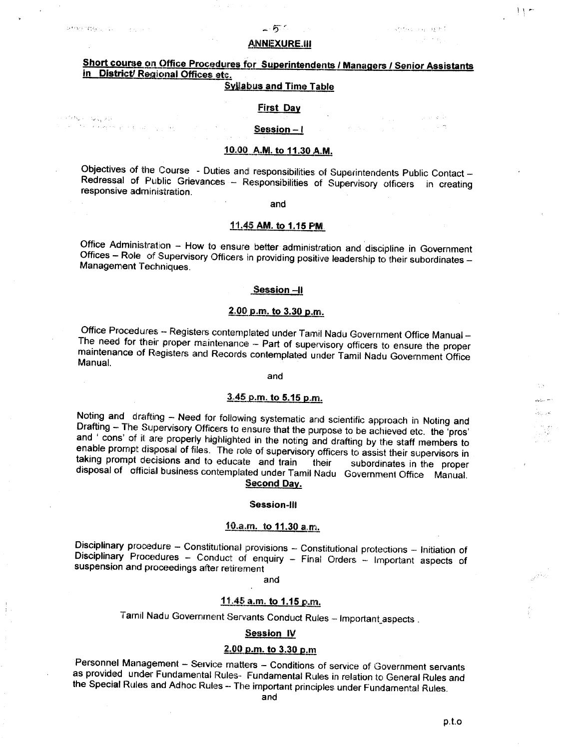经增值的付款 可以 化合金化合金

 $\mathcal{P}^{\mathcal{O}}(\Omega_{\omega, \mathcal{O}})$  (  $\mathcal{Q}^{\mathcal{O}}_{\mathcal{M}}$  )<br>(1)

 $\mathbb{E}^{(n+1)/2} \left( \mathbb{E}^{(n)} \left( \mathbb{E}^{(n)} \right) \right) \left( \mathbb{E}^{(n)} \left( \mathbb{E}^{(n)} \right) \right) \left( \mathbb{E}^{(n)} \left( \mathbb{E}^{(n)} \right) \right) \leq \mathbb{E}^{(n)} \left( \mathbb{E}^{(n)} \left( \mathbb{E}^{(n)} \right) \right)$ 

## **ANNEXURE.III**

# Short course on Office Procedures for Superintendents / Managers / Senjor Assistants in District/ Regional Offices etc.

# **Syllabus and Time Table**

## **First Day**

### Session $-1$

# 10.00 A.M. to 11.30 A.M.

Objectives of the Course - Duties and responsibilities of Superintendents Public Contact -Redressal of Public Grievances - Responsibilities of Supervisory officers in creating responsive administration.

#### and

#### 11.45 AM. to 1.15 PM.

Office Administration - How to ensure better administration and discipline in Government Offices - Role of Supervisory Officers in providing positive leadership to their subordinates -Management Techniques.

#### Session-II

# 2.00 p.m. to 3.30 p.m.

Office Procedures -- Registers contemplated under Tamil Nadu Government Office Manual --The need for their proper maintenance - Part of supervisory officers to ensure the proper maintenance of Registers and Records contemplated under Tamil Nadu Government Office Manual.

and

#### 3.45 p.m. to 5.15 p.m.

Noting and drafting - Need for following systematic and scientific approach in Noting and Drafting - The Supervisory Officers to ensure that the purpose to be achieved etc. the 'pros' and ' cons' of it are properly highlighted in the noting and drafting by the staff members to enable prompt disposal of files. The role of supervisory officers to assist their supervisors in taking prompt decisions and to educate and train their subordinates in the proper disposal of official business contemplated under Tamil Nadu Government Office Manual. Second Day.

#### Session-III

## 10.a.m. to 11.30 a.m.

Disciplinary procedure - Constitutional provisions - Constitutional protections - Initiation of Disciplinary Procedures - Conduct of enquiry - Final Orders - Important aspects of suspension and proceedings after retirement

and

## 11.45 a.m. to 1.15 p.m.

Tarnil Nadu Government Servants Conduct Rules - Important\_aspects.

### **Session IV**

# 2.00 p.m. to 3.30 p.m

Personnel Management - Service matters - Conditions of service of Government servants as provided under Fundamental Rules- Fundamental Rules in relation to General Rules and the Special Rules and Adhoc Rules - The important principles under Fundamental Rules.

 $p.t.$ o

 $\frac{1}{2}$ 

which are longer again.

 $\langle \hat{p}_{\rm{M}} \rangle_{\rm{L}}$  is  $\langle \hat{p}_{\rm{M}} \rangle_{\rm{L}}$